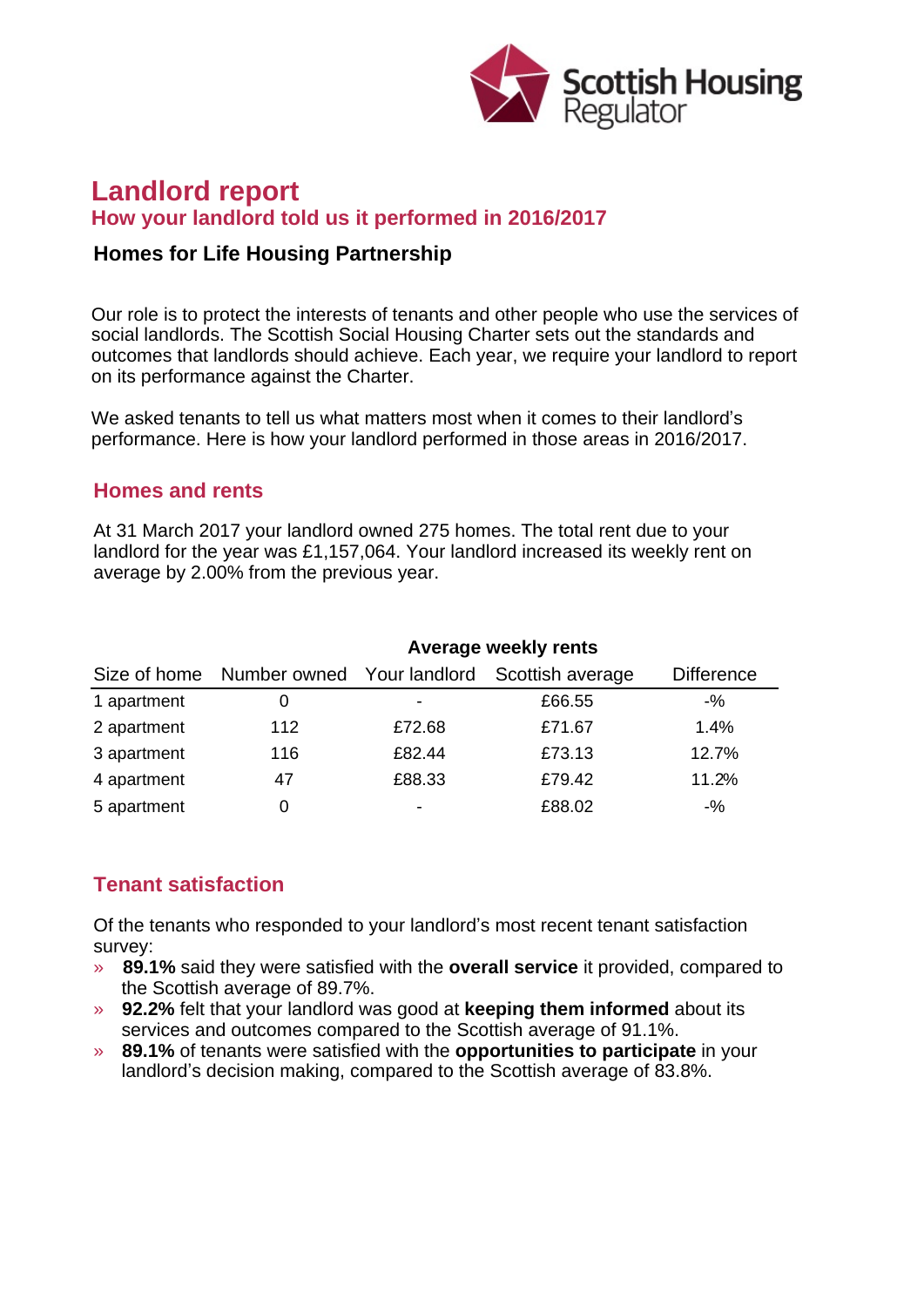

# **Landlord report How your landlord told us it performed in 2016/2017**

### **Homes for Life Housing Partnership**

Our role is to protect the interests of tenants and other people who use the services of social landlords. The Scottish Social Housing Charter sets out the standards and outcomes that landlords should achieve. Each year, we require your landlord to report on its performance against the Charter.

We asked tenants to tell us what matters most when it comes to their landlord's performance. Here is how your landlord performed in those areas in 2016/2017.

#### **Homes and rents**

At 31 March 2017 your landlord owned 275 homes. The total rent due to your landlord for the year was £1,157,064. Your landlord increased its weekly rent on average by 2.00% from the previous year.

|             | Average weekly rents |                          |                                                          |                   |
|-------------|----------------------|--------------------------|----------------------------------------------------------|-------------------|
|             |                      |                          | Size of home Number owned Your landlord Scottish average | <b>Difference</b> |
| 1 apartment |                      | ٠                        | £66.55                                                   | $-$ %             |
| 2 apartment | 112                  | £72.68                   | £71.67                                                   | 1.4%              |
| 3 apartment | 116                  | £82.44                   | £73.13                                                   | 12.7%             |
| 4 apartment | 47                   | £88.33                   | £79.42                                                   | 11.2%             |
| 5 apartment |                      | $\overline{\phantom{0}}$ | £88.02                                                   | $-$ %             |

## **Tenant satisfaction**

Of the tenants who responded to your landlord's most recent tenant satisfaction survey:

- » **89.1%** said they were satisfied with the **overall service** it provided, compared to the Scottish average of 89.7%.
- » **92.2%** felt that your landlord was good at **keeping them informed** about its services and outcomes compared to the Scottish average of 91.1%.
- » **89.1%** of tenants were satisfied with the **opportunities to participate** in your landlord's decision making, compared to the Scottish average of 83.8%.